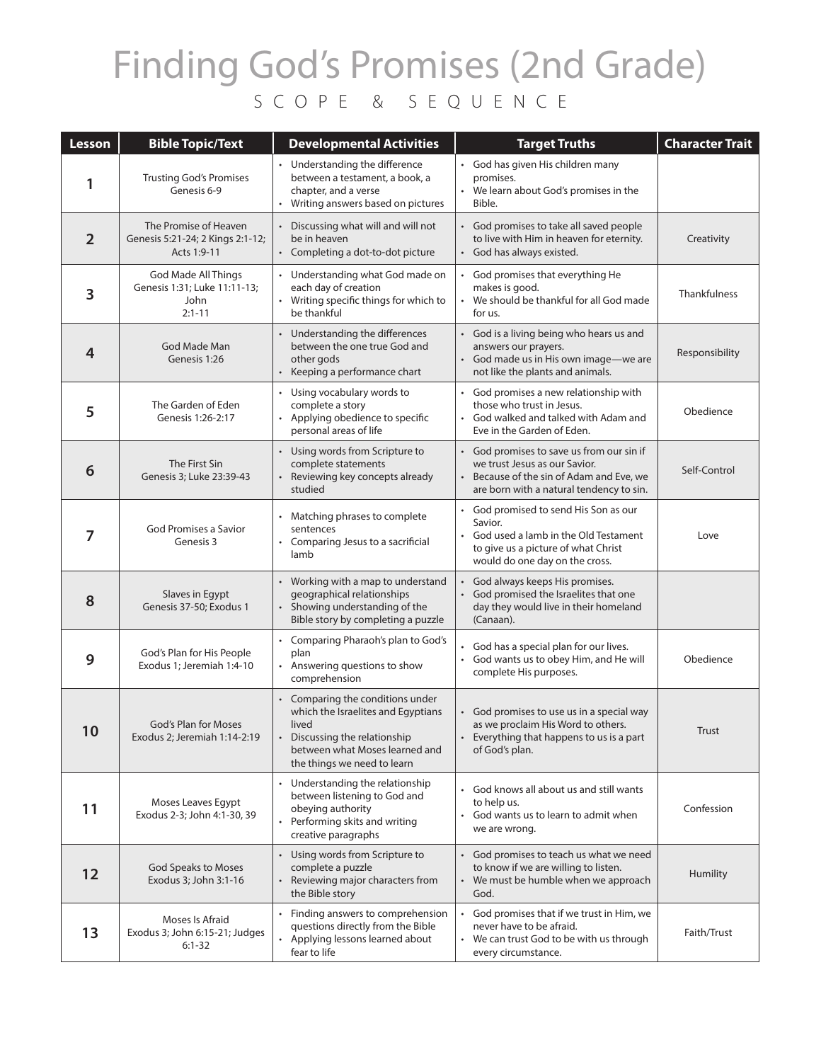## Finding God's Promises (2nd Grade) SCOPE & SEQUENCE

| Lesson         | <b>Bible Topic/Text</b>                                                   | <b>Developmental Activities</b>                                                                                                                                                 | <b>Target Truths</b>                                                                                                                                                | <b>Character Trait</b> |
|----------------|---------------------------------------------------------------------------|---------------------------------------------------------------------------------------------------------------------------------------------------------------------------------|---------------------------------------------------------------------------------------------------------------------------------------------------------------------|------------------------|
| 1              | <b>Trusting God's Promises</b><br>Genesis 6-9                             | • Understanding the difference<br>between a testament, a book, a<br>chapter, and a verse<br>Writing answers based on pictures                                                   | • God has given His children many<br>promises.<br>• We learn about God's promises in the<br>Bible.                                                                  |                        |
| $\overline{2}$ | The Promise of Heaven<br>Genesis 5:21-24; 2 Kings 2:1-12;<br>Acts 1:9-11  | Discussing what will and will not<br>be in heaven<br>• Completing a dot-to-dot picture                                                                                          | • God promises to take all saved people<br>to live with Him in heaven for eternity.<br>• God has always existed.                                                    | Creativity             |
| 3              | God Made All Things<br>Genesis 1:31; Luke 11:11-13;<br>John<br>$2:1 - 11$ | Understanding what God made on<br>each day of creation<br>Writing specific things for which to<br>be thankful                                                                   | God promises that everything He<br>makes is good.<br>We should be thankful for all God made<br>for us.                                                              | Thankfulness           |
| 4              | God Made Man<br>Genesis 1:26                                              | Understanding the differences<br>between the one true God and<br>other gods<br>Keeping a performance chart                                                                      | • God is a living being who hears us and<br>answers our prayers.<br>• God made us in His own image-we are<br>not like the plants and animals.                       | Responsibility         |
| 5              | The Garden of Eden<br>Genesis 1:26-2:17                                   | Using vocabulary words to<br>$\bullet$<br>complete a story<br>Applying obedience to specific<br>$\bullet$<br>personal areas of life                                             | • God promises a new relationship with<br>those who trust in Jesus.<br>God walked and talked with Adam and<br>$\bullet$<br>Eve in the Garden of Eden.               | Obedience              |
| 6              | The First Sin<br>Genesis 3; Luke 23:39-43                                 | Using words from Scripture to<br>complete statements<br>Reviewing key concepts already<br>studied                                                                               | • God promises to save us from our sin if<br>we trust Jesus as our Savior.<br>Because of the sin of Adam and Eve, we<br>are born with a natural tendency to sin.    | Self-Control           |
| 7              | God Promises a Savior<br>Genesis 3                                        | Matching phrases to complete<br>sentences<br>Comparing Jesus to a sacrificial<br>lamb                                                                                           | • God promised to send His Son as our<br>Savior.<br>• God used a lamb in the Old Testament<br>to give us a picture of what Christ<br>would do one day on the cross. | Love                   |
| 8              | Slaves in Egypt<br>Genesis 37-50; Exodus 1                                | Working with a map to understand<br>geographical relationships<br>Showing understanding of the<br>Bible story by completing a puzzle                                            | God always keeps His promises.<br>God promised the Israelites that one<br>$\bullet$<br>day they would live in their homeland<br>(Canaan).                           |                        |
| 9              | God's Plan for His People<br>Exodus 1; Jeremiah 1:4-10                    | Comparing Pharaoh's plan to God's<br>$\bullet$<br>plan<br>Answering questions to show<br>comprehension                                                                          | • God has a special plan for our lives.<br>God wants us to obey Him, and He will<br>complete His purposes.                                                          | Obedience              |
| 10             | God's Plan for Moses<br>Exodus 2; Jeremiah 1:14-2:19                      | Comparing the conditions under<br>which the Israelites and Egyptians<br>lived<br>• Discussing the relationship<br>between what Moses learned and<br>the things we need to learn | • God promises to use us in a special way<br>as we proclaim His Word to others.<br>Everything that happens to us is a part<br>of God's plan.                        | Trust                  |
| 11             | Moses Leaves Egypt<br>Exodus 2-3; John 4:1-30, 39                         | Understanding the relationship<br>between listening to God and<br>obeying authority<br>Performing skits and writing<br>creative paragraphs                                      | God knows all about us and still wants<br>to help us.<br>God wants us to learn to admit when<br>we are wrong.                                                       | Confession             |
| 12             | God Speaks to Moses<br>Exodus 3; John 3:1-16                              | Using words from Scripture to<br>complete a puzzle<br>Reviewing major characters from<br>$\bullet$<br>the Bible story                                                           | • God promises to teach us what we need<br>to know if we are willing to listen.<br>• We must be humble when we approach<br>God.                                     | Humility               |
| 13             | Moses Is Afraid<br>Exodus 3; John 6:15-21; Judges<br>$6:1 - 32$           | Finding answers to comprehension<br>questions directly from the Bible<br>Applying lessons learned about<br>fear to life                                                         | • God promises that if we trust in Him, we<br>never have to be afraid.<br>• We can trust God to be with us through<br>every circumstance.                           | Faith/Trust            |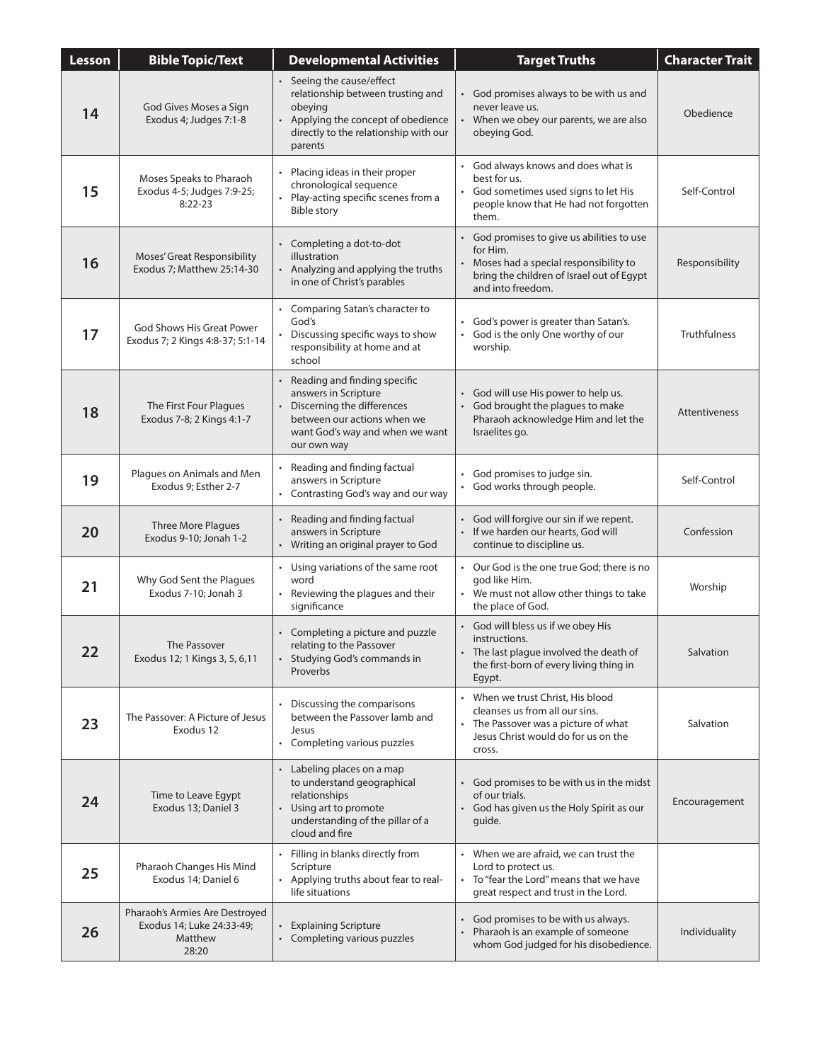| <b>Lesson</b> | <b>Bible Topic/Text</b>                                                         | <b>Developmental Activities</b>                                                                                                                                                  | <b>Target Truths</b>                                                                                                                                              | <b>Character Trait</b> |
|---------------|---------------------------------------------------------------------------------|----------------------------------------------------------------------------------------------------------------------------------------------------------------------------------|-------------------------------------------------------------------------------------------------------------------------------------------------------------------|------------------------|
| 14            | God Gives Moses a Sign<br>Exodus 4; Judges 7:1-8                                | • Seeing the cause/effect<br>relationship between trusting and<br>obeying<br>Applying the concept of obedience<br>directly to the relationship with our<br>parents               | God promises always to be with us and<br>never leave us.<br>• When we obey our parents, we are also<br>obeying God.                                               | Obedience              |
| 15            | Moses Speaks to Pharaoh<br>Exodus 4-5; Judges 7:9-25;<br>$8:22-23$              | Placing ideas in their proper<br>chronological sequence<br>Play-acting specific scenes from a<br><b>Bible story</b>                                                              | • God always knows and does what is<br>best for us.<br>God sometimes used signs to let His<br>people know that He had not forgotten<br>them.                      | Self-Control           |
| 16            | Moses' Great Responsibility<br>Exodus 7; Matthew 25:14-30                       | • Completing a dot-to-dot<br>illustration<br>• Analyzing and applying the truths<br>in one of Christ's parables                                                                  | • God promises to give us abilities to use<br>for Him.<br>Moses had a special responsibility to<br>bring the children of Israel out of Egypt<br>and into freedom. | Responsibility         |
| 17            | God Shows His Great Power<br>Exodus 7; 2 Kings 4:8-37; 5:1-14                   | • Comparing Satan's character to<br>God's<br>Discussing specific ways to show<br>responsibility at home and at<br>school                                                         | • God's power is greater than Satan's.<br>God is the only One worthy of our<br>worship.                                                                           | <b>Truthfulness</b>    |
| 18            | The First Four Plagues<br>Exodus 7-8; 2 Kings 4:1-7                             | Reading and finding specific<br>$\bullet$<br>answers in Scripture<br>Discerning the differences<br>between our actions when we<br>want God's way and when we want<br>our own way | • God will use His power to help us.<br>God brought the plagues to make<br>$\bullet$<br>Pharaoh acknowledge Him and let the<br>Israelites go.                     | Attentiveness          |
| 19            | Plagues on Animals and Men<br>Exodus 9; Esther 2-7                              | Reading and finding factual<br>answers in Scripture<br>• Contrasting God's way and our way                                                                                       | God promises to judge sin.<br>God works through people.<br>$\bullet$                                                                                              | Self-Control           |
| 20            | Three More Plagues<br>Exodus 9-10; Jonah 1-2                                    | Reading and finding factual<br>$\bullet$<br>answers in Scripture<br>Writing an original prayer to God                                                                            | • God will forgive our sin if we repent.<br>• If we harden our hearts, God will<br>continue to discipline us.                                                     | Confession             |
| 21            | Why God Sent the Plagues<br>Exodus 7-10; Jonah 3                                | • Using variations of the same root<br>word<br>Reviewing the plagues and their<br>significance                                                                                   | • Our God is the one true God; there is no<br>god like Him.<br>• We must not allow other things to take<br>the place of God.                                      | Worship                |
| 22            | The Passover<br>Exodus 12; 1 Kings 3, 5, 6, 11                                  | Completing a picture and puzzle<br>relating to the Passover<br>• Studying God's commands in<br>Proverbs                                                                          | • God will bless us if we obey His<br>instructions.<br>The last plague involved the death of<br>the first-born of every living thing in<br>Egypt.                 | Salvation              |
| 23            | The Passover: A Picture of Jesus<br>Exodus 12                                   | Discussing the comparisons<br>between the Passover lamb and<br>Jesus<br>• Completing various puzzles                                                                             | • When we trust Christ, His blood<br>cleanses us from all our sins.<br>• The Passover was a picture of what<br>Jesus Christ would do for us on the<br>cross.      | Salvation              |
| 24            | Time to Leave Egypt<br>Exodus 13; Daniel 3                                      | • Labeling places on a map<br>to understand geographical<br>relationships<br>Using art to promote<br>$\bullet$<br>understanding of the pillar of a<br>cloud and fire             | • God promises to be with us in the midst<br>of our trials.<br>• God has given us the Holy Spirit as our<br>guide.                                                | Encouragement          |
| 25            | Pharaoh Changes His Mind<br>Exodus 14; Daniel 6                                 | Filling in blanks directly from<br>Scripture<br>• Applying truths about fear to real-<br>life situations                                                                         | • When we are afraid, we can trust the<br>Lord to protect us.<br>• To "fear the Lord" means that we have<br>great respect and trust in the Lord.                  |                        |
| 26            | Pharaoh's Armies Are Destroyed<br>Exodus 14; Luke 24:33-49;<br>Matthew<br>28:20 | • Explaining Scripture<br>Completing various puzzles                                                                                                                             | • God promises to be with us always.<br>Pharaoh is an example of someone<br>whom God judged for his disobedience.                                                 | Individuality          |